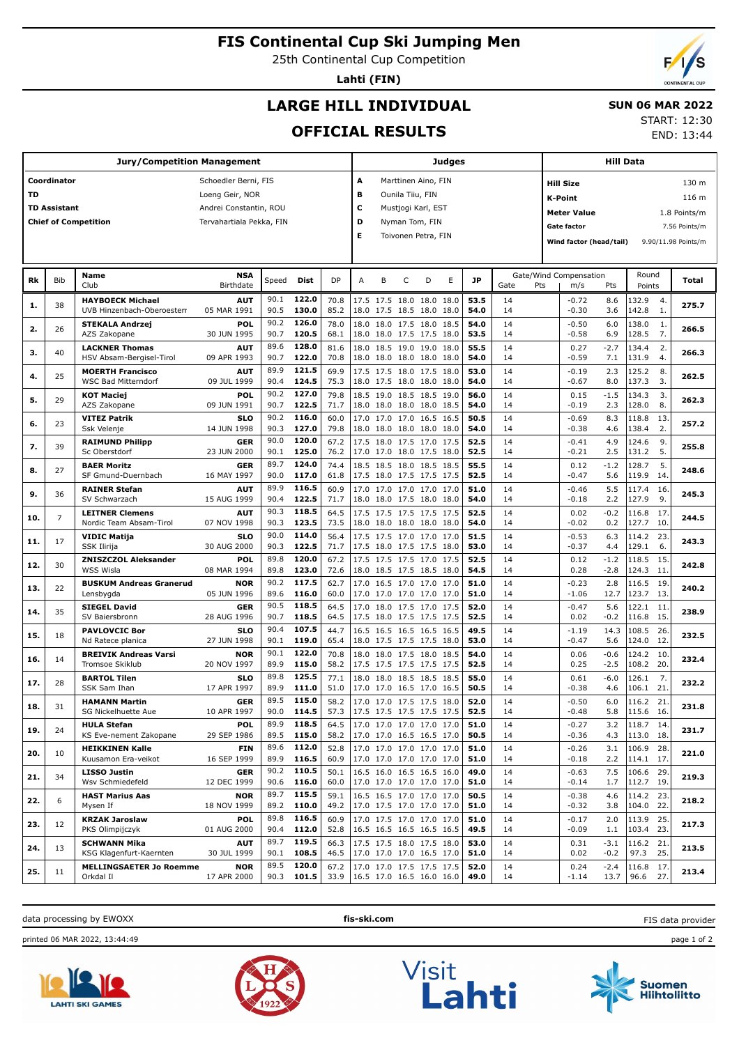# **FIS Continental Cup Ski Jumping Men**

25th Continental Cup Competition

**Lahti (FIN)**

END: 13:44

# **LARGE HILL INDIVIDUAL**

### **SUN 06 MAR 2022** START: 12:30

**OFFICIAL RESULTS**

|     |                     | <b>Jury/Competition Management</b>              |                           |              |                |              |                            |                                                      |                  |                     | Judges |              |             |                         |                  | Hill Data              |            |                     |
|-----|---------------------|-------------------------------------------------|---------------------------|--------------|----------------|--------------|----------------------------|------------------------------------------------------|------------------|---------------------|--------|--------------|-------------|-------------------------|------------------|------------------------|------------|---------------------|
|     | Coordinator         |                                                 | Schoedler Berni, FIS      |              |                |              | А                          |                                                      |                  | Marttinen Aino, FIN |        |              |             | <b>Hill Size</b>        |                  |                        |            | 130 m               |
| TD  |                     |                                                 | Loeng Geir, NOR           |              |                |              | в                          |                                                      | Ounila Tiiu, FIN |                     |        |              |             | <b>K-Point</b>          |                  |                        |            | 116 m               |
|     | <b>TD Assistant</b> |                                                 | Andrei Constantin, ROU    |              |                |              | c                          |                                                      |                  | Mustjogi Karl, EST  |        |              |             |                         |                  |                        |            |                     |
|     |                     | <b>Chief of Competition</b>                     | Tervahartiala Pekka, FIN  |              |                |              | D                          |                                                      |                  | Nyman Tom, FIN      |        |              |             | Meter Value             |                  |                        |            | 1.8 Points/m        |
|     |                     |                                                 |                           |              |                |              | E                          |                                                      |                  | Toivonen Petra, FIN |        |              |             | <b>Gate factor</b>      |                  |                        |            | 7.56 Points/m       |
|     |                     |                                                 |                           |              |                |              |                            |                                                      |                  |                     |        |              |             | Wind factor (head/tail) |                  |                        |            | 9.90/11.98 Points/m |
|     |                     |                                                 |                           |              |                |              |                            |                                                      |                  |                     |        |              |             |                         |                  |                        |            |                     |
|     |                     | Name                                            | <b>NSA</b>                |              |                |              |                            |                                                      |                  |                     |        |              |             | Gate/Wind Compensation  |                  | Round                  |            |                     |
| Rk  | Bib                 | Club                                            | <b>Birthdate</b>          | Speed        | Dist           | <b>DP</b>    | Α                          | B                                                    | C                | D                   | E      | JP           | Gate<br>Pts | m/s                     | Pts              | Points                 |            | Total               |
| 1.  | 38                  | <b>HAYBOECK Michael</b>                         | AUT                       | 90.1         | 122.0          | 70.8         |                            | 17.5 17.5 18.0 18.0 18.0                             |                  |                     |        | 53.5         | 14          | $-0.72$                 | 8.6              | 132.9                  | 4.         | 275.7               |
|     |                     | UVB Hinzenbach-Oberoesterr                      | 05 MAR 1991               | 90.5         | 130.0          | 85.2         |                            | 18.0 17.5 18.5 18.0 18.0                             |                  |                     |        | 54.0         | 14          | -0.30                   | 3.6              | 142.8                  | 1.         |                     |
| 2.  | 26                  | <b>STEKALA Andrzej</b><br>AZS Zakopane          | POL<br>30 JUN 1995        | 90.2<br>90.7 | 126.0<br>120.5 | 78.0<br>68.1 |                            | 18.0 18.0 17.5 18.0 18.5<br>18.0 18.0 17.5 17.5 18.0 |                  |                     |        | 54.0<br>53.5 | 14<br>14    | $-0.50$<br>$-0.58$      | 6.0<br>6.9       | 138.0<br>128.5         | 1.<br>7.   | 266.5               |
|     |                     | <b>LACKNER Thomas</b>                           | <b>AUT</b>                | 89.6         | 128.0          | 81.6         |                            | 18.0 18.5 19.0 19.0 18.0                             |                  |                     |        | 55.5         | 14          | 0.27                    | $-2.7$           | 134.4                  | 2.         |                     |
| з.  | 40                  | HSV Absam-Bergisel-Tirol                        | 09 APR 1993               | 90.7         | 122.0          | 70.8         |                            | 18.0 18.0 18.0 18.0 18.0                             |                  |                     |        | 54.0         | 14          | $-0.59$                 | 7.1              | 131.9                  | 4.         | 266.3               |
| 4.  | 25                  | <b>MOERTH Francisco</b>                         | AUT                       | 89.9         | 121.5          | 69.9         |                            | 17.5 17.5 18.0 17.5 18.0                             |                  |                     |        | 53.0         | 14          | $-0.19$                 | 2.3              | 125.2                  | 8.         | 262.5               |
|     |                     | <b>WSC Bad Mitterndorf</b>                      | 09 JUL 1999               | 90.4         | 124.5          | 75.3         |                            | 18.0 17.5 18.0 18.0 18.0                             |                  |                     |        | 54.0         | 14          | $-0.67$                 | 8.0              | 137.3                  | 3.         |                     |
| 5.  | 29                  | <b>KOT Maciej</b>                               | POL<br>09 JUN 1991        | 90.2<br>90.7 | 127.0<br>122.5 | 79.8<br>71.7 |                            | 18.5 19.0 18.5 18.5 19.0                             |                  |                     |        | 56.0<br>54.0 | 14<br>14    | 0.15<br>-0.19           | $-1.5$<br>2.3    | 134.3<br>128.0         | 3.<br>8.   | 262.3               |
|     |                     | AZS Zakopane                                    |                           | 90.2         | 116.0          |              |                            | 18.0 18.0 18.0 18.0 18.5                             |                  |                     |        |              | 14          |                         |                  |                        |            |                     |
| 6.  | 23                  | <b>VITEZ Patrik</b><br>Ssk Velenje              | <b>SLO</b><br>14 JUN 1998 | 90.3         | 127.0          | 60.0<br>79.8 | 17.0                       | 17.0 17.0 16.5 16.5<br>18.0 18.0 18.0 18.0 18.0      |                  |                     |        | 50.5<br>54.0 | 14          | $-0.69$<br>$-0.38$      | 8.3<br>4.6       | 118.8<br>138.4         | 13.<br>2.  | 257.2               |
|     |                     | <b>RAIMUND Philipp</b>                          | GER                       | 90.0         | 120.0          | 67.2         |                            | 17.5 18.0 17.5 17.0 17.5                             |                  |                     |        | 52.5         | 14          | $-0.41$                 | 4.9              | 124.6                  | 9.         |                     |
| 7.  | 39                  | Sc Oberstdorf                                   | 23 JUN 2000               | 90.1         | 125.0          | 76.2         |                            | 17.0 17.0 18.0 17.5 18.0                             |                  |                     |        | 52.5         | 14          | $-0.21$                 | 2.5              | 131.2                  | 5.         | 255.8               |
| 8.  | 27                  | <b>BAER Moritz</b><br>SF Gmund-Duernbach        | <b>GER</b><br>16 MAY 1997 | 89.7<br>90.0 | 124.0<br>117.0 | 74.4<br>61.8 |                            | 18.5 18.5 18.0 18.5 18.5<br>17.5 18.0 17.5 17.5 17.5 |                  |                     |        | 55.5<br>52.5 | 14<br>14    | 0.12<br>$-0.47$         | $-1.2$<br>5.6    | 128.7<br>119.9         | 5.<br>14.  | 248.6               |
|     |                     | <b>RAINER Stefan</b>                            | <b>AUT</b>                | 89.9         | 116.5          | 60.9         |                            | 17.0 17.0 17.0 17.0 17.0                             |                  |                     |        | 51.0         | 14          | $-0.46$                 | 5.5              | 117.4                  | 16.        |                     |
| 9.  | 36                  | SV Schwarzach                                   | 15 AUG 1999               | 90.4         | 122.5          | 71.7         |                            | 18.0 18.0 17.5 18.0 18.0                             |                  |                     |        | 54.0         | 14          | $-0.18$                 | 2.2              | 127.9                  | 9.         | 245.3               |
| 10. | 7                   | <b>LEITNER Clemens</b>                          | AUT                       | 90.3         | 118.5          | 64.5         |                            | 17.5 17.5 17.5 17.5 17.5                             |                  |                     |        | 52.5         | 14          | 0.02                    | $-0.2$           | 116.8                  | 17         | 244.5               |
|     |                     | Nordic Team Absam-Tirol                         | 07 NOV 1998               | 90.3<br>90.0 | 123.5<br>114.0 | 73.5         |                            | 18.0 18.0 18.0 18.0 18.0                             |                  |                     |        | 54.0         | 14          | $-0.02$                 | 0.2              | 127.7                  | 10.        |                     |
| 11. | 17                  | <b>VIDIC Matija</b><br>SSK Ilirija              | <b>SLO</b><br>30 AUG 2000 | 90.3         | 122.5          | 56.4<br>71.7 |                            | 17.5 17.5 17.0 17.0 17.0<br>17.5 18.0 17.5 17.5 18.0 |                  |                     |        | 51.5<br>53.0 | 14<br>14    | $-0.53$<br>-0.37        | 6.3<br>4.4       | 114.2<br>129.1         | 23.<br>6.  | 243.3               |
| 12. | 30                  | <b>ZNISZCZOL Aleksander</b>                     | POL                       | 89.8         | 120.0          | 67.2         |                            | 17.5 17.5 17.5 17.0 17.5                             |                  |                     |        | 52.5         | 14          | 0.12                    | $-1.2$           | 118.5                  | 15.        | 242.8               |
|     |                     | <b>WSS Wisla</b>                                | 08 MAR 1994               | 89.8         | 123.0          | 72.6         |                            | 18.0 18.5 17.5 18.5 18.0                             |                  |                     |        | 54.5         | 14          | 0.28                    | $-2.8$           | 124.3                  | 11.        |                     |
| 13. | 22                  | <b>BUSKUM Andreas Granerud</b><br>Lensbygda     | <b>NOR</b><br>05 JUN 1996 | 90.2<br>89.6 | 117.5<br>116.0 | 62.7<br>60.0 | 17.0                       | 16.5 17.0 17.0 17.0<br>17.0 17.0 17.0 17.0 17.0      |                  |                     |        | 51.0<br>51.0 | 14<br>14    | $-0.23$<br>$-1.06$      | 2.8<br>12.7      | 116.5<br>123.7         | 19.<br>13. | 240.2               |
|     |                     | <b>SIEGEL David</b>                             | <b>GER</b>                | 90.5         | 118.5          | 64.5         |                            | 17.0 18.0 17.5 17.0 17.5                             |                  |                     |        | 52.0         | 14          | $-0.47$                 | 5.6              | 122.1                  | 11.        |                     |
| 14. | 35                  | SV Baiersbronn                                  | 28 AUG 1996               | 90.7         | 118.5          | 64.5         |                            | 17.5 18.0 17.5 17.5 17.5                             |                  |                     |        | 52.5         | 14          | 0.02                    | -0.2             | 116.8                  | 15.        | 238.9               |
| 15. | 18                  | <b>PAVLOVCIC Bor</b>                            | <b>SLO</b>                | 90.4         | 107.5          | 44.7         |                            | 16.5 16.5 16.5 16.5 16.5                             |                  |                     |        | 49.5         | 14          | $-1.19$                 | 14.3             | 108.5                  | 26.        | 232.5               |
|     |                     | Nd Ratece planica                               | 27 JUN 1998               | 90.1         | 119.0          | 65.4         |                            | 18.0 17.5 17.5 17.5 18.0                             |                  |                     |        | 53.0         | 14          | $-0.47$                 | 5.6              | 124.0                  | 12.        |                     |
| 16. | 14                  | <b>BREIVIK Andreas Varsi</b><br>Tromsoe Skiklub | <b>NOR</b><br>20 NOV 1997 | 90.1<br>89.9 | 122.0<br>115.0 | 70.8<br>58.2 |                            | 18.0 18.0 17.5 18.0 18.5<br>17.5 17.5 17.5 17.5 17.5 |                  |                     |        | 54.0<br>52.5 | 14<br>14    | 0.06<br>0.25            | $-0.6$<br>$-2.5$ | 124.2<br>108.2         | 10.<br>20. | 232.4               |
|     |                     | <b>BARTOL Tilen</b>                             | <b>SLO</b>                | 89.8         | 125.5          | 77.1         |                            | 18.0 18.0 18.5 18.5 18.5                             |                  |                     |        | 55.0         | 14          | 0.61                    | $-6.0$           | 126.1                  | 7.         |                     |
| 17. | 28                  | SSK Sam Ihan                                    | 17 APR 1997               | 89.9         | 111.0          | 51.0         |                            | 17.0 17.0 16.5 17.0                                  |                  |                     | 16.5   | 50.5         | 14          | $-0.38$                 | 4.6              | 106.1                  | 21.        | 232.2               |
| 18. | 31                  | <b>HAMANN Martin</b>                            | <b>GER</b>                | 89.5         | 115.0          | 58.2         |                            | 17.0 17.0 17.5 17.5 18.0                             |                  |                     |        | 52.0         | 14          | $-0.50$                 | 6.0              | 116.2                  | 21         | 231.8               |
|     |                     | SG Nickelhuette Aue                             | 10 APR 1997               | 90.0         | 114.5          | 57.3         | 1/.5 1/.5 1/.5 1/.5 1/.5   |                                                      |                  |                     |        | 52.5         | 14          | -0.48                   | 5.8              | 115.6 16.              |            |                     |
| 19. | 24                  | <b>HULA Stefan</b><br>KS Eve-nement Zakopane    | POL<br>29 SEP 1986        | 89.9<br>89.5 | 118.5<br>115.0 | 64.5<br>58.2 |                            | 17.0 17.0 17.0 17.0 17.0<br>17.0 17.0 16.5 16.5 17.0 |                  |                     |        | 51.0<br>50.5 | 14<br>14    | $-0.27$<br>$-0.36$      | 3.2<br>4.3       | 118.7 14.<br>113.0 18. |            | 231.7               |
|     |                     | <b>HEIKKINEN Kalle</b>                          | <b>FIN</b>                | 89.6         | 112.0          | 52.8         |                            | 17.0 17.0 17.0 17.0 17.0                             |                  |                     |        | 51.0         | 14          | $-0.26$                 | 3.1              | 106.9 28.              |            |                     |
| 20. | 10                  | Kuusamon Era-veikot                             | 16 SEP 1999               | 89.9         | 116.5          | 60.9         |                            | 17.0 17.0 17.0 17.0 17.0                             |                  |                     |        | 51.0         | 14          | $-0.18$                 | 2.2              | 114.1 17.              |            | 221.0               |
| 21. | 34                  | <b>LISSO Justin</b>                             | <b>GER</b>                | 90.2         | 110.5          | 50.1         |                            | 16.5 16.0 16.5 16.5 16.0                             |                  |                     |        | 49.0         | 14          | $-0.63$                 | 7.5              | 106.6 29.              |            | 219.3               |
|     |                     | Wsv Schmiedefeld                                | 12 DEC 1999               | 90.6<br>89.7 | 116.0<br>115.5 | 60.0         |                            | 17.0 17.0 17.0 17.0 17.0<br>16.5 16.5 17.0 17.0 17.0 |                  |                     |        | 51.0         | 14          | $-0.14$                 | 1.7              | 112.7 19.              |            |                     |
| 22. | 6                   | <b>HAST Marius Aas</b><br>Mysen If              | <b>NOR</b><br>18 NOV 1999 |              | 89.2 110.0     | 59.1<br>49.2 | 17.0 17.5 17.0 17.0 17.0   |                                                      |                  |                     |        | 50.5<br>51.0 | 14<br>14    | $-0.38$<br>$-0.32$      | 4.6<br>3.8       | 114.2 23.<br>104.0 22. |            | 218.2               |
|     |                     | <b>KRZAK Jaroslaw</b>                           | <b>POL</b>                | 89.8         | 116.5          | 60.9         |                            | 17.0 17.5 17.0 17.0 17.0                             |                  |                     |        | 51.0         | 14          | $-0.17$                 | 2.0              | 113.9                  | 25.        |                     |
| 23. | 12                  | PKS Olimpijczyk                                 | 01 AUG 2000               | 90.4         | 112.0          | 52.8         |                            | 16.5 16.5 16.5 16.5 16.5                             |                  |                     |        | 49.5         | 14          | $-0.09$                 | 1.1              | 103.4                  | 23.        | 217.3               |
| 24. | 13                  | <b>SCHWANN Mika</b><br>KSG Klagenfurt-Kaernten  | <b>AUT</b><br>30 JUL 1999 | 89.7<br>90.1 | 119.5<br>108.5 | 66.3<br>46.5 |                            | 17.5 17.5 18.0 17.5 18.0<br>17.0 17.0 17.0 16.5 17.0 |                  |                     |        | 53.0<br>51.0 | 14<br>14    | 0.31<br>0.02            | $-3.1$<br>$-0.2$ | 116.2 21.<br>97.3      | 25.        | 213.5               |
|     |                     | <b>MELLINGSAETER Jo Roemme</b>                  | <b>NOR</b>                | 89.5         | 120.0          | 67.2         |                            | 17.0 17.0 17.5 17.5 17.5                             |                  |                     |        | 52.0         | 14          | 0.24                    | $-2.4$           | 116.8 17.              |            |                     |
| 25. | 11                  | Orkdal II                                       | 17 APR 2000               |              | 90.3 101.5     | 33.9         | $16.5$ 17.0 16.5 16.0 16.0 |                                                      |                  |                     |        | 49.0         | 14          | $-1.14$                 | 13.7             | 96.6                   | 27.        | 213.4               |

data processing by EWOXX **fis-ski.com**

FIS data provider

printed 06 MAR 2022, 13:44:49 page 1 of 2